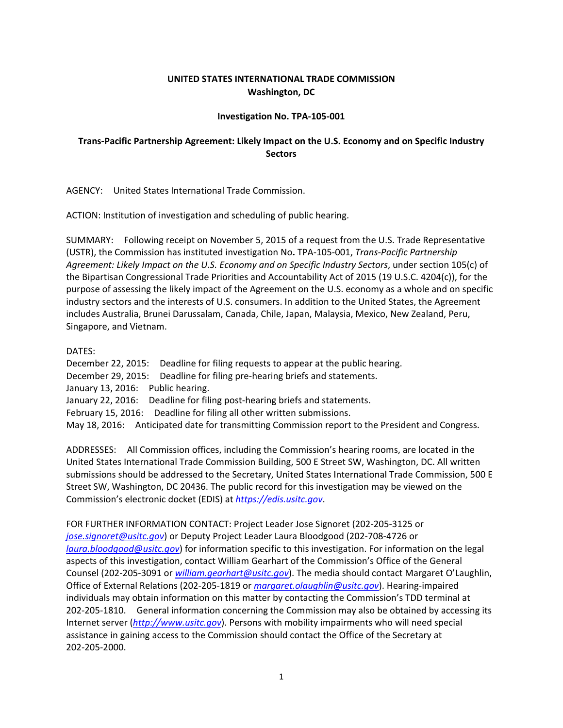## **UNITED STATES INTERNATIONAL TRADE COMMISSION Washington, DC**

## **Investigation No. TPA‐105‐001**

## **Trans‐Pacific Partnership Agreement: Likely Impact on the U.S. Economy and on Specific Industry Sectors**

AGENCY: United States International Trade Commission.

ACTION: Institution of investigation and scheduling of public hearing.

SUMMARY: Following receipt on November 5, 2015 of a request from the U.S. Trade Representative (USTR), the Commission has instituted investigation No**.** TPA‐105‐001, *Trans‐Pacific Partnership Agreement: Likely Impact on the U.S. Economy and on Specific Industry Sectors*, under section 105(c) of the Bipartisan Congressional Trade Priorities and Accountability Act of 2015 (19 U.S.C. 4204(c)), for the purpose of assessing the likely impact of the Agreement on the U.S. economy as a whole and on specific industry sectors and the interests of U.S. consumers. In addition to the United States, the Agreement includes Australia, Brunei Darussalam, Canada, Chile, Japan, Malaysia, Mexico, New Zealand, Peru, Singapore, and Vietnam.

## DATES:

December 22, 2015: Deadline for filing requests to appear at the public hearing. December 29, 2015: Deadline for filing pre-hearing briefs and statements. January 13, 2016: Public hearing. January 22, 2016: Deadline for filing post-hearing briefs and statements. February 15, 2016: Deadline for filing all other written submissions. May 18, 2016: Anticipated date for transmitting Commission report to the President and Congress.

ADDRESSES: All Commission offices, including the Commission's hearing rooms, are located in the United States International Trade Commission Building, 500 E Street SW, Washington, DC. All written submissions should be addressed to the Secretary, United States International Trade Commission, 500 E Street SW, Washington, DC 20436. The public record for this investigation may be viewed on the Commission's electronic docket (EDIS) at *https://edis.usitc.gov*.

FOR FURTHER INFORMATION CONTACT: Project Leader Jose Signoret (202‐205‐3125 or *jose.signoret@usitc.gov*) or Deputy Project Leader Laura Bloodgood (202‐708‐4726 or *laura.bloodgood@usitc.gov*) for information specific to this investigation. For information on the legal aspects of this investigation, contact William Gearhart of the Commission's Office of the General Counsel (202‐205‐3091 or *william.gearhart@usitc.gov*). The media should contact Margaret O'Laughlin, Office of External Relations (202‐205‐1819 or *margaret.olaughlin@usitc.gov*). Hearing‐impaired individuals may obtain information on this matter by contacting the Commission's TDD terminal at 202‐205‐1810. General information concerning the Commission may also be obtained by accessing its Internet server (*http://www.usitc.gov*). Persons with mobility impairments who will need special assistance in gaining access to the Commission should contact the Office of the Secretary at 202‐205‐2000.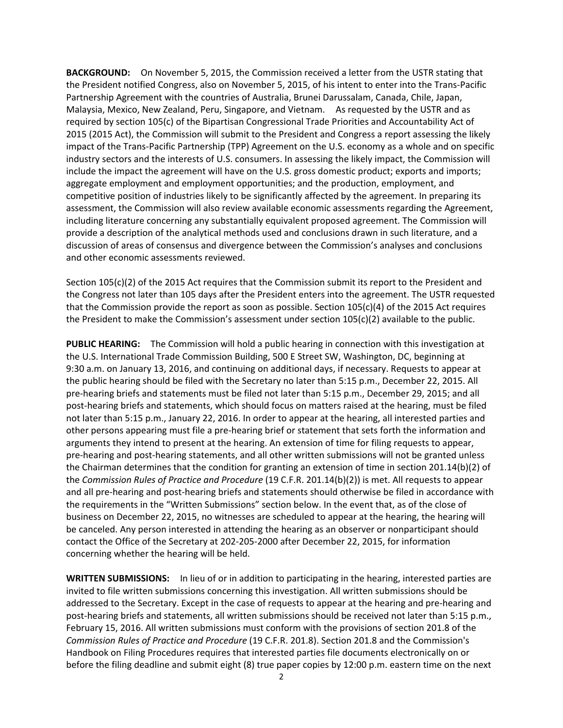**BACKGROUND:** On November 5, 2015, the Commission received a letter from the USTR stating that the President notified Congress, also on November 5, 2015, of his intent to enter into the Trans‐Pacific Partnership Agreement with the countries of Australia, Brunei Darussalam, Canada, Chile, Japan, Malaysia, Mexico, New Zealand, Peru, Singapore, and Vietnam. As requested by the USTR and as required by section 105(c) of the Bipartisan Congressional Trade Priorities and Accountability Act of 2015 (2015 Act), the Commission will submit to the President and Congress a report assessing the likely impact of the Trans‐Pacific Partnership (TPP) Agreement on the U.S. economy as a whole and on specific industry sectors and the interests of U.S. consumers. In assessing the likely impact, the Commission will include the impact the agreement will have on the U.S. gross domestic product; exports and imports; aggregate employment and employment opportunities; and the production, employment, and competitive position of industries likely to be significantly affected by the agreement. In preparing its assessment, the Commission will also review available economic assessments regarding the Agreement, including literature concerning any substantially equivalent proposed agreement. The Commission will provide a description of the analytical methods used and conclusions drawn in such literature, and a discussion of areas of consensus and divergence between the Commission's analyses and conclusions and other economic assessments reviewed.

Section 105(c)(2) of the 2015 Act requires that the Commission submit its report to the President and the Congress not later than 105 days after the President enters into the agreement. The USTR requested that the Commission provide the report as soon as possible. Section  $105(c)(4)$  of the 2015 Act requires the President to make the Commission's assessment under section 105(c)(2) available to the public.

**PUBLIC HEARING:** The Commission will hold a public hearing in connection with this investigation at the U.S. International Trade Commission Building, 500 E Street SW, Washington, DC, beginning at 9:30 a.m. on January 13, 2016, and continuing on additional days, if necessary. Requests to appear at the public hearing should be filed with the Secretary no later than 5:15 p.m., December 22, 2015. All pre‐hearing briefs and statements must be filed not later than 5:15 p.m., December 29, 2015; and all post-hearing briefs and statements, which should focus on matters raised at the hearing, must be filed not later than 5:15 p.m., January 22, 2016. In order to appear at the hearing, all interested parties and other persons appearing must file a pre‐hearing brief or statement that sets forth the information and arguments they intend to present at the hearing. An extension of time for filing requests to appear, pre‐hearing and post‐hearing statements, and all other written submissions will not be granted unless the Chairman determines that the condition for granting an extension of time in section 201.14(b)(2) of the *Commission Rules of Practice and Procedure* (19 C.F.R. 201.14(b)(2)) is met. All requests to appear and all pre‐hearing and post‐hearing briefs and statements should otherwise be filed in accordance with the requirements in the "Written Submissions" section below. In the event that, as of the close of business on December 22, 2015, no witnesses are scheduled to appear at the hearing, the hearing will be canceled. Any person interested in attending the hearing as an observer or nonparticipant should contact the Office of the Secretary at 202‐205‐2000 after December 22, 2015, for information concerning whether the hearing will be held.

**WRITTEN SUBMISSIONS:** In lieu of or in addition to participating in the hearing, interested parties are invited to file written submissions concerning this investigation. All written submissions should be addressed to the Secretary. Except in the case of requests to appear at the hearing and pre‐hearing and post-hearing briefs and statements, all written submissions should be received not later than 5:15 p.m., February 15, 2016. All written submissions must conform with the provisions of section 201.8 of the *Commission Rules of Practice and Procedure* (19 C.F.R. 201.8). Section 201.8 and the Commission's Handbook on Filing Procedures requires that interested parties file documents electronically on or before the filing deadline and submit eight (8) true paper copies by 12:00 p.m. eastern time on the next